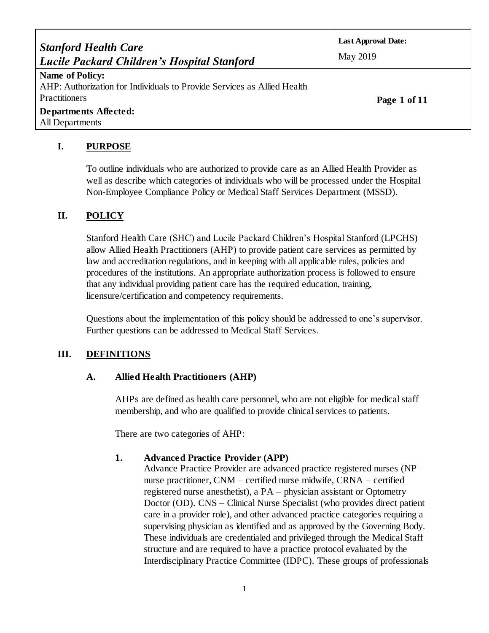| <b>Stanford Health Care</b><br><b>Lucile Packard Children's Hospital Stanford</b>                                  | <b>Last Approval Date:</b><br>May 2019 |
|--------------------------------------------------------------------------------------------------------------------|----------------------------------------|
| <b>Name of Policy:</b><br>AHP: Authorization for Individuals to Provide Services as Allied Health<br>Practitioners | Page 1 of 11                           |
| Departments Affected:<br>All Departments                                                                           |                                        |

## **I. PURPOSE**

To outline individuals who are authorized to provide care as an Allied Health Provider as well as describe which categories of individuals who will be processed under the Hospital Non-Employee Compliance Policy or Medical Staff Services Department (MSSD).

# **II. POLICY**

Stanford Health Care (SHC) and Lucile Packard Children's Hospital Stanford (LPCHS) allow Allied Health Practitioners (AHP) to provide patient care services as permitted by law and accreditation regulations, and in keeping with all applicable rules, policies and procedures of the institutions. An appropriate authorization process is followed to ensure that any individual providing patient care has the required education, training, licensure/certification and competency requirements.

Questions about the implementation of this policy should be addressed to one's supervisor. Further questions can be addressed to Medical Staff Services.

# **III. DEFINITIONS**

## **A. Allied Health Practitioners (AHP)**

AHPs are defined as health care personnel, who are not eligible for medical staff membership, and who are qualified to provide clinical services to patients.

There are two categories of AHP:

## **1. Advanced Practice Provider (APP)**

Advance Practice Provider are advanced practice registered nurses (NP – nurse practitioner, CNM – certified nurse midwife, CRNA – certified registered nurse anesthetist), a PA – physician assistant or Optometry Doctor (OD). CNS – Clinical Nurse Specialist (who provides direct patient care in a provider role), and other advanced practice categories requiring a supervising physician as identified and as approved by the Governing Body. These individuals are credentialed and privileged through the Medical Staff structure and are required to have a practice protocol evaluated by the Interdisciplinary Practice Committee (IDPC). These groups of professionals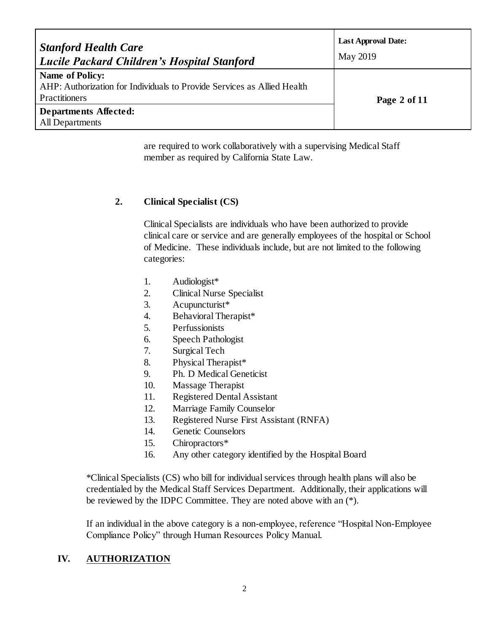| <b>Stanford Health Care</b><br><b>Lucile Packard Children's Hospital Stanford</b>                                  | <b>Last Approval Date:</b><br>May 2019 |
|--------------------------------------------------------------------------------------------------------------------|----------------------------------------|
| <b>Name of Policy:</b><br>AHP: Authorization for Individuals to Provide Services as Allied Health<br>Practitioners | Page 2 of 11                           |
| Departments Affected:<br>All Departments                                                                           |                                        |

are required to work collaboratively with a supervising Medical Staff member as required by California State Law.

## **2. Clinical Specialist (CS)**

Clinical Specialists are individuals who have been authorized to provide clinical care or service and are generally employees of the hospital or School of Medicine. These individuals include, but are not limited to the following categories:

- 1. Audiologist\*
- 2. Clinical Nurse Specialist
- 3. Acupuncturist\*
- 4. Behavioral Therapist\*
- 5. Perfussionists
- 6. Speech Pathologist
- 7. Surgical Tech
- 8. Physical Therapist\*
- 9. Ph. D Medical Geneticist
- 10. Massage Therapist
- 11. Registered Dental Assistant
- 12. Marriage Family Counselor
- 13. Registered Nurse First Assistant (RNFA)
- 14. Genetic Counselors
- 15. Chiropractors\*
- 16. Any other category identified by the Hospital Board

\*Clinical Specialists (CS) who bill for individual services through health plans will also be credentialed by the Medical Staff Services Department. Additionally, their applications will be reviewed by the IDPC Committee. They are noted above with an (\*).

If an individual in the above category is a non-employee, reference "Hospital Non-Employee Compliance Policy" through Human Resources Policy Manual.

# **IV. AUTHORIZATION**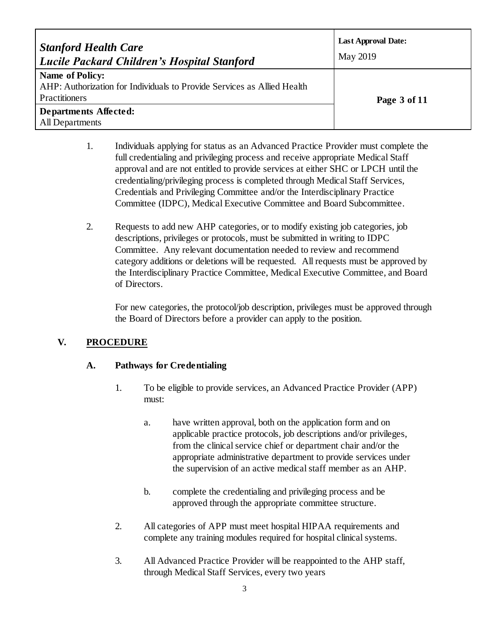| <b>Stanford Health Care</b><br><b>Lucile Packard Children's Hospital Stanford</b>                                  | <b>Last Approval Date:</b><br>May 2019 |
|--------------------------------------------------------------------------------------------------------------------|----------------------------------------|
| <b>Name of Policy:</b><br>AHP: Authorization for Individuals to Provide Services as Allied Health<br>Practitioners | Page 3 of 11                           |
| Departments Affected:<br>All Departments                                                                           |                                        |

- 1. Individuals applying for status as an Advanced Practice Provider must complete the full credentialing and privileging process and receive appropriate Medical Staff approval and are not entitled to provide services at either SHC or LPCH until the credentialing/privileging process is completed through Medical Staff Services, Credentials and Privileging Committee and/or the Interdisciplinary Practice Committee (IDPC), Medical Executive Committee and Board Subcommittee.
- 2. Requests to add new AHP categories, or to modify existing job categories, job descriptions, privileges or protocols, must be submitted in writing to IDPC Committee. Any relevant documentation needed to review and recommend category additions or deletions will be requested. All requests must be approved by the Interdisciplinary Practice Committee, Medical Executive Committee, and Board of Directors.

For new categories, the protocol/job description, privileges must be approved through the Board of Directors before a provider can apply to the position.

# **V. PROCEDURE**

## **A. Pathways for Credentialing**

- 1. To be eligible to provide services, an Advanced Practice Provider (APP) must:
	- a. have written approval, both on the application form and on applicable practice protocols, job descriptions and/or privileges, from the clinical service chief or department chair and/or the appropriate administrative department to provide services under the supervision of an active medical staff member as an AHP.
	- b. complete the credentialing and privileging process and be approved through the appropriate committee structure.
- 2. All categories of APP must meet hospital HIPAA requirements and complete any training modules required for hospital clinical systems.
- 3. All Advanced Practice Provider will be reappointed to the AHP staff, through Medical Staff Services, every two years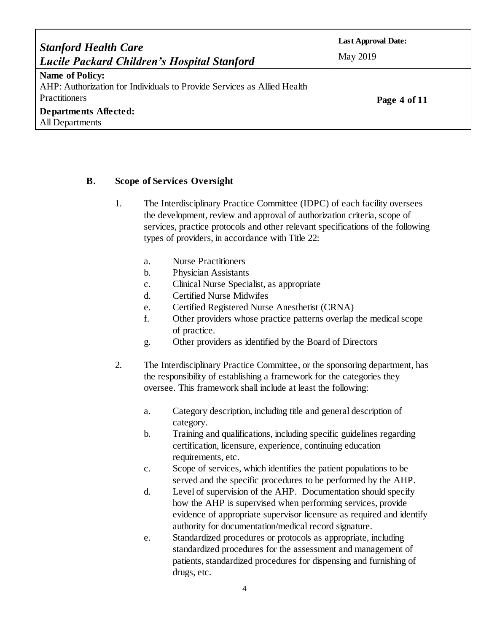| <b>Stanford Health Care</b><br><b>Lucile Packard Children's Hospital Stanford</b>                                  | <b>Last Approval Date:</b><br>May 2019 |
|--------------------------------------------------------------------------------------------------------------------|----------------------------------------|
| <b>Name of Policy:</b><br>AHP: Authorization for Individuals to Provide Services as Allied Health<br>Practitioners | Page 4 of 11                           |
| Departments Affected:<br>All Departments                                                                           |                                        |

#### **B. Scope of Services Oversight**

- 1. The Interdisciplinary Practice Committee (IDPC) of each facility oversees the development, review and approval of authorization criteria, scope of services, practice protocols and other relevant specifications of the following types of providers, in accordance with Title 22:
	- a. Nurse Practitioners
	- b. Physician Assistants
	- c. Clinical Nurse Specialist, as appropriate
	- d. Certified Nurse Midwifes
	- e. Certified Registered Nurse Anesthetist (CRNA)
	- f. Other providers whose practice patterns overlap the medical scope of practice.
	- g. Other providers as identified by the Board of Directors
- 2. The Interdisciplinary Practice Committee, or the sponsoring department, has the responsibility of establishing a framework for the categories they oversee. This framework shall include at least the following:
	- a. Category description, including title and general description of category.
	- b. Training and qualifications, including specific guidelines regarding certification, licensure, experience, continuing education requirements, etc.
	- c. Scope of services, which identifies the patient populations to be served and the specific procedures to be performed by the AHP.
	- d. Level of supervision of the AHP. Documentation should specify how the AHP is supervised when performing services, provide evidence of appropriate supervisor licensure as required and identify authority for documentation/medical record signature.
	- e. Standardized procedures or protocols as appropriate, including standardized procedures for the assessment and management of patients, standardized procedures for dispensing and furnishing of drugs, etc.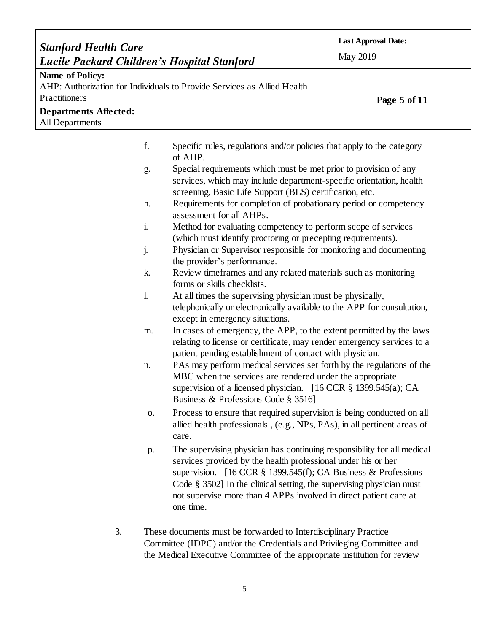| <b>Stanford Health Care</b><br><b>Lucile Packard Children's Hospital Stanford</b>   |                                                                                                                                                       | <b>Last Approval Date:</b><br>May 2019 |
|-------------------------------------------------------------------------------------|-------------------------------------------------------------------------------------------------------------------------------------------------------|----------------------------------------|
| <b>Name of Policy:</b><br>Practitioners<br>Departments Affected:<br>All Departments | AHP: Authorization for Individuals to Provide Services as Allied Health                                                                               | Page 5 of 11                           |
| f.<br>g.                                                                            | Specific rules, regulations and/or policies that apply to the category<br>of AHP.<br>Special requirements which must be met prior to provision of any |                                        |

- services, which may include department-specific orientation, health screening, Basic Life Support (BLS) certification, etc.
- h. Requirements for completion of probationary period or competency assessment for all AHPs.
- i. Method for evaluating competency to perform scope of services (which must identify proctoring or precepting requirements).
- j. Physician or Supervisor responsible for monitoring and documenting the provider's performance.
- k. Review timeframes and any related materials such as monitoring forms or skills checklists.
- l. At all times the supervising physician must be physically, telephonically or electronically available to the APP for consultation, except in emergency situations.
- m. In cases of emergency, the APP, to the extent permitted by the laws relating to license or certificate, may render emergency services to a patient pending establishment of contact with physician.
- n. PAs may perform medical services set forth by the regulations of the MBC when the services are rendered under the appropriate supervision of a licensed physician. [16 CCR § 1399.545(a); CA Business & Professions Code § 3516]
- o. Process to ensure that required supervision is being conducted on all allied health professionals , (e.g., NPs, PAs), in all pertinent areas of care.
- p. The supervising physician has continuing responsibility for all medical services provided by the health professional under his or her supervision. [16 CCR § 1399.545(f); CA Business & Professions Code § 3502] In the clinical setting, the supervising physician must not supervise more than 4 APPs involved in direct patient care at one time.
- 3. These documents must be forwarded to Interdisciplinary Practice Committee (IDPC) and/or the Credentials and Privileging Committee and the Medical Executive Committee of the appropriate institution for review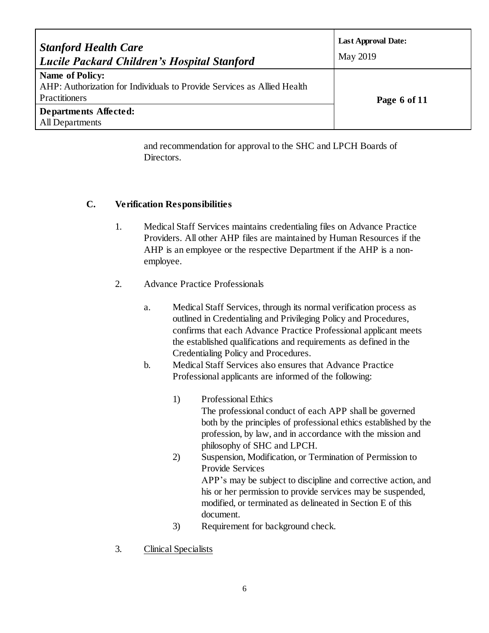| <b>Stanford Health Care</b><br><b>Lucile Packard Children's Hospital Stanford</b>                                  | <b>Last Approval Date:</b><br>May 2019 |
|--------------------------------------------------------------------------------------------------------------------|----------------------------------------|
| <b>Name of Policy:</b><br>AHP: Authorization for Individuals to Provide Services as Allied Health<br>Practitioners | Page 6 of 11                           |
| Departments Affected:<br>All Departments                                                                           |                                        |

and recommendation for approval to the SHC and LPCH Boards of Directors.

#### **C. Verification Responsibilities**

- 1. Medical Staff Services maintains credentialing files on Advance Practice Providers. All other AHP files are maintained by Human Resources if the AHP is an employee or the respective Department if the AHP is a nonemployee.
- 2. Advance Practice Professionals
	- a. Medical Staff Services, through its normal verification process as outlined in Credentialing and Privileging Policy and Procedures, confirms that each Advance Practice Professional applicant meets the established qualifications and requirements as defined in the Credentialing Policy and Procedures.
	- b. Medical Staff Services also ensures that Advance Practice Professional applicants are informed of the following:
		- 1) Professional Ethics The professional conduct of each APP shall be governed both by the principles of professional ethics established by the profession, by law, and in accordance with the mission and philosophy of SHC and LPCH.
		- 2) Suspension, Modification, or Termination of Permission to Provide Services APP's may be subject to discipline and corrective action, and his or her permission to provide services may be suspended, modified, or terminated as delineated in Section E of this document.
		- 3) Requirement for background check.
- 3. Clinical Specialists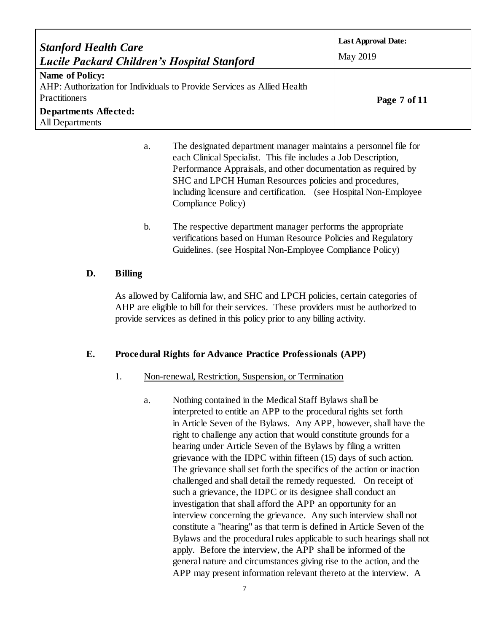| <b>Stanford Health Care</b><br><b>Lucile Packard Children's Hospital Stanford</b>                                  | <b>Last Approval Date:</b><br>May 2019 |
|--------------------------------------------------------------------------------------------------------------------|----------------------------------------|
| <b>Name of Policy:</b><br>AHP: Authorization for Individuals to Provide Services as Allied Health<br>Practitioners | Page 7 of 11                           |
| <b>Departments Affected:</b><br>All Departments                                                                    |                                        |

- a. The designated department manager maintains a personnel file for each Clinical Specialist. This file includes a Job Description, Performance Appraisals, and other documentation as required by SHC and LPCH Human Resources policies and procedures, including licensure and certification. (see Hospital Non-Employee Compliance Policy)
- b. The respective department manager performs the appropriate verifications based on Human Resource Policies and Regulatory Guidelines. (see Hospital Non-Employee Compliance Policy)

### **D. Billing**

As allowed by California law, and SHC and LPCH policies, certain categories of AHP are eligible to bill for their services. These providers must be authorized to provide services as defined in this policy prior to any billing activity.

#### **E. Procedural Rights for Advance Practice Professionals (APP)**

#### 1. Non-renewal, Restriction, Suspension, or Termination

a. Nothing contained in the Medical Staff Bylaws shall be interpreted to entitle an APP to the procedural rights set forth in Article Seven of the Bylaws. Any APP, however, shall have the right to challenge any action that would constitute grounds for a hearing under Article Seven of the Bylaws by filing a written grievance with the IDPC within fifteen (15) days of such action. The grievance shall set forth the specifics of the action or inaction challenged and shall detail the remedy requested. On receipt of such a grievance, the IDPC or its designee shall conduct an investigation that shall afford the APP an opportunity for an interview concerning the grievance. Any such interview shall not constitute a "hearing" as that term is defined in Article Seven of the Bylaws and the procedural rules applicable to such hearings shall not apply. Before the interview, the APP shall be informed of the general nature and circumstances giving rise to the action, and the APP may present information relevant thereto at the interview. A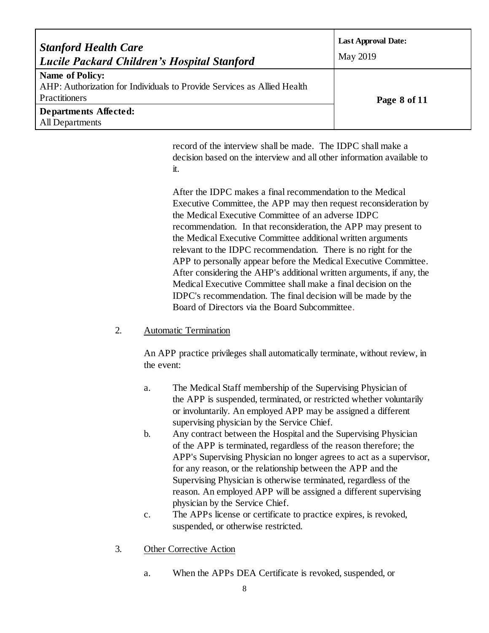| <b>Stanford Health Care</b><br><b>Lucile Packard Children's Hospital Stanford</b>                                  | <b>Last Approval Date:</b><br>May 2019 |
|--------------------------------------------------------------------------------------------------------------------|----------------------------------------|
| <b>Name of Policy:</b><br>AHP: Authorization for Individuals to Provide Services as Allied Health<br>Practitioners | Page 8 of 11                           |
| Departments Affected:<br><b>All Departments</b>                                                                    |                                        |

record of the interview shall be made. The IDPC shall make a decision based on the interview and all other information available to it.

After the IDPC makes a final recommendation to the Medical Executive Committee, the APP may then request reconsideration by the Medical Executive Committee of an adverse IDPC recommendation. In that reconsideration, the APP may present to the Medical Executive Committee additional written arguments relevant to the IDPC recommendation. There is no right for the APP to personally appear before the Medical Executive Committee. After considering the AHP's additional written arguments, if any, the Medical Executive Committee shall make a final decision on the IDPC's recommendation. The final decision will be made by the Board of Directors via the Board Subcommittee.

#### 2. Automatic Termination

An APP practice privileges shall automatically terminate, without review, in the event:

- a. The Medical Staff membership of the Supervising Physician of the APP is suspended, terminated, or restricted whether voluntarily or involuntarily. An employed APP may be assigned a different supervising physician by the Service Chief.
- b. Any contract between the Hospital and the Supervising Physician of the APP is terminated, regardless of the reason therefore; the APP's Supervising Physician no longer agrees to act as a supervisor, for any reason, or the relationship between the APP and the Supervising Physician is otherwise terminated, regardless of the reason. An employed APP will be assigned a different supervising physician by the Service Chief.
- c. The APPs license or certificate to practice expires, is revoked, suspended, or otherwise restricted.
- 3. Other Corrective Action
	- a. When the APPs DEA Certificate is revoked, suspended, or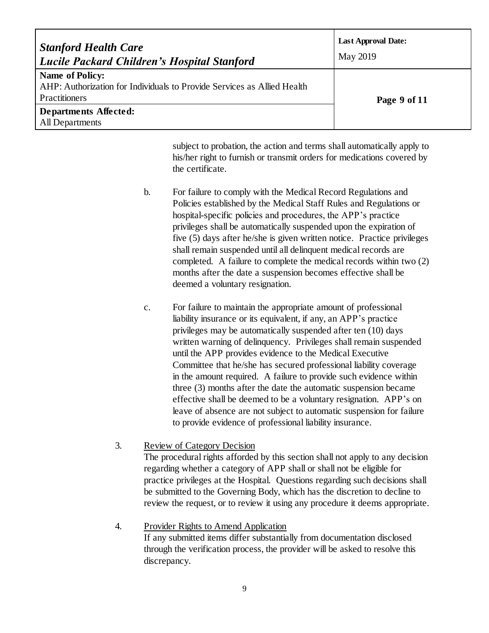| <b>Stanford Health Care</b><br>Lucile Packard Children's Hospital Stanford                                         | <b>Last Approval Date:</b><br>May 2019 |
|--------------------------------------------------------------------------------------------------------------------|----------------------------------------|
| Name of Policy:<br>AHP: Authorization for Individuals to Provide Services as Allied Health<br><b>Practitioners</b> | Page 9 of 11                           |
| Departments Affected:<br>All Departments                                                                           |                                        |

subject to probation, the action and terms shall automatically apply to his/her right to furnish or transmit orders for medications covered by the certificate.

- b. For failure to comply with the Medical Record Regulations and Policies established by the Medical Staff Rules and Regulations or hospital-specific policies and procedures, the APP's practice privileges shall be automatically suspended upon the expiration of five (5) days after he/she is given written notice. Practice privileges shall remain suspended until all delinquent medical records are completed. A failure to complete the medical records within two (2) months after the date a suspension becomes effective shall be deemed a voluntary resignation.
- c. For failure to maintain the appropriate amount of professional liability insurance or its equivalent, if any, an APP's practice privileges may be automatically suspended after ten (10) days written warning of delinquency. Privileges shall remain suspended until the APP provides evidence to the Medical Executive Committee that he/she has secured professional liability coverage in the amount required. A failure to provide such evidence within three (3) months after the date the automatic suspension became effective shall be deemed to be a voluntary resignation. APP's on leave of absence are not subject to automatic suspension for failure to provide evidence of professional liability insurance.
- 3. Review of Category Decision The procedural rights afforded by this section shall not apply to any decision regarding whether a category of APP shall or shall not be eligible for practice privileges at the Hospital. Questions regarding such decisions shall be submitted to the Governing Body, which has the discretion to decline to review the request, or to review it using any procedure it deems appropriate.
- 4. Provider Rights to Amend Application If any submitted items differ substantially from documentation disclosed through the verification process, the provider will be asked to resolve this discrepancy.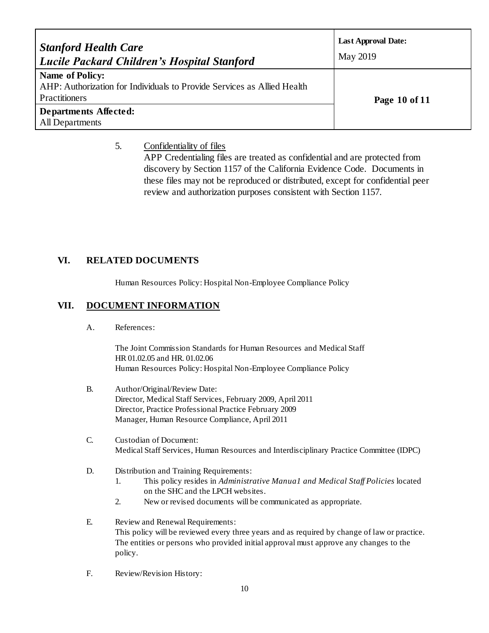| <b>Stanford Health Care</b><br><b>Lucile Packard Children's Hospital Stanford</b>                                  | <b>Last Approval Date:</b><br>May 2019 |
|--------------------------------------------------------------------------------------------------------------------|----------------------------------------|
| <b>Name of Policy:</b><br>AHP: Authorization for Individuals to Provide Services as Allied Health<br>Practitioners | Page 10 of 11                          |
| Departments Affected:<br>All Departments                                                                           |                                        |

#### 5. Confidentiality of files

APP Credentialing files are treated as confidential and are protected from discovery by Section 1157 of the California Evidence Code. Documents in these files may not be reproduced or distributed, except for confidential peer review and authorization purposes consistent with Section 1157.

### **VI. RELATED DOCUMENTS**

Human Resources Policy: Hospital Non-Employee Compliance Policy

### **VII. DOCUMENT INFORMATION**

A. References:

The Joint Commission Standards for Human Resources and Medical Staff HR 01.02.05 and HR. 01.02.06 Human Resources Policy: Hospital Non-Employee Compliance Policy

- B. Author/Original/Review Date: Director, Medical Staff Services, February 2009, April 2011 Director, Practice Professional Practice February 2009 Manager, Human Resource Compliance, April 2011
- C. Custodian of Document: Medical Staff Services, Human Resources and Interdisciplinary Practice Committee (IDPC)
- D. Distribution and Training Requirements:
	- 1. This policy resides in *Administrative Manua1 and Medical Staff Policies* located on the SHC and the LPCH websites.
	- 2. New or revised documents will be communicated as appropriate.
- E. Review and Renewal Requirements: This policy will be reviewed every three years and as required by change of law or practice. The entities or persons who provided initial approval must approve any changes to the policy.
- F. Review/Revision History: